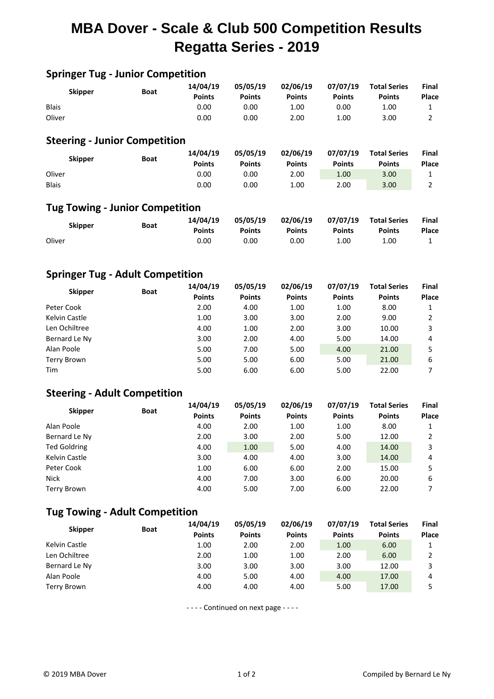## **MBA Dover - Scale & Club 500 Competition Results Regatta Series - 2019**

| <b>Springer Tug - Junior Competition</b> |             |               |               |               |               |                     |              |  |  |  |
|------------------------------------------|-------------|---------------|---------------|---------------|---------------|---------------------|--------------|--|--|--|
| <b>Skipper</b>                           |             | 14/04/19      | 05/05/19      | 02/06/19      | 07/07/19      | <b>Total Series</b> | Final        |  |  |  |
|                                          | <b>Boat</b> | <b>Points</b> | <b>Points</b> | <b>Points</b> | <b>Points</b> | <b>Points</b>       | Place        |  |  |  |
| <b>Blais</b>                             |             | 0.00          | 0.00          | 1.00          | 0.00          | 1.00                | 1            |  |  |  |
| Oliver                                   |             | 0.00          | 0.00          | 2.00          | 1.00          | 3.00                | 2            |  |  |  |
| <b>Steering - Junior Competition</b>     |             |               |               |               |               |                     |              |  |  |  |
| <b>Skipper</b>                           | <b>Boat</b> | 14/04/19      | 05/05/19      | 02/06/19      | 07/07/19      | <b>Total Series</b> | Final        |  |  |  |
|                                          |             | <b>Points</b> | <b>Points</b> | <b>Points</b> | <b>Points</b> | <b>Points</b>       | <b>Place</b> |  |  |  |
| Oliver                                   |             | 0.00          | 0.00          | 2.00          | 1.00          | 3.00                | 1            |  |  |  |
| <b>Blais</b>                             |             | 0.00          | 0.00          | 1.00          | 2.00          | 3.00                | 2            |  |  |  |
| <b>Tug Towing - Junior Competition</b>   |             |               |               |               |               |                     |              |  |  |  |
| <b>Skipper</b>                           |             | 14/04/19      | 05/05/19      | 02/06/19      | 07/07/19      | <b>Total Series</b> | <b>Final</b> |  |  |  |
|                                          | <b>Boat</b> | <b>Points</b> | <b>Points</b> | <b>Points</b> | <b>Points</b> | <b>Points</b>       | Place        |  |  |  |
| Oliver                                   |             | 0.00          | 0.00          | 0.00          | 1.00          | 1.00                | 1            |  |  |  |

### **Springer Tug - Adult Competition**

| <b>Skipper</b> | Boat | 14/04/19<br><b>Points</b> | 05/05/19<br><b>Points</b> | 02/06/19<br><b>Points</b> | 07/07/19<br><b>Points</b> | <b>Total Series</b><br><b>Points</b> | <b>Final</b><br>Place |
|----------------|------|---------------------------|---------------------------|---------------------------|---------------------------|--------------------------------------|-----------------------|
| Peter Cook     |      | 2.00                      | 4.00                      | 1.00                      | 1.00                      | 8.00                                 |                       |
| Kelvin Castle  |      | 1.00                      | 3.00                      | 3.00                      | 2.00                      | 9.00                                 | 2                     |
| Len Ochiltree  |      | 4.00                      | 1.00                      | 2.00                      | 3.00                      | 10.00                                | 3                     |
| Bernard Le Ny  |      | 3.00                      | 2.00                      | 4.00                      | 5.00                      | 14.00                                | 4                     |
| Alan Poole     |      | 5.00                      | 7.00                      | 5.00                      | 4.00                      | 21.00                                | 5                     |
| Terry Brown    |      | 5.00                      | 5.00                      | 6.00                      | 5.00                      | 21.00                                | 6                     |
| Tim            |      | 5.00                      | 6.00                      | 6.00                      | 5.00                      | 22.00                                |                       |

### **Steering - Adult Competition**

| <b>Skipper</b>      | <b>Boat</b> | 14/04/19<br><b>Points</b> | 05/05/19<br><b>Points</b> | 02/06/19<br><b>Points</b> | 07/07/19<br><b>Points</b> | <b>Total Series</b><br><b>Points</b> | Final<br>Place |
|---------------------|-------------|---------------------------|---------------------------|---------------------------|---------------------------|--------------------------------------|----------------|
| Alan Poole          |             | 4.00                      | 2.00                      | 1.00                      | 1.00                      | 8.00                                 |                |
| Bernard Le Ny       |             | 2.00                      | 3.00                      | 2.00                      | 5.00                      | 12.00                                | 2              |
| <b>Ted Goldring</b> |             | 4.00                      | 1.00                      | 5.00                      | 4.00                      | 14.00                                | 3              |
| Kelvin Castle       |             | 3.00                      | 4.00                      | 4.00                      | 3.00                      | 14.00                                | 4              |
| Peter Cook          |             | 1.00                      | 6.00                      | 6.00                      | 2.00                      | 15.00                                | 5              |
| <b>Nick</b>         |             | 4.00                      | 7.00                      | 3.00                      | 6.00                      | 20.00                                | 6              |
| Terry Brown         |             | 4.00                      | 5.00                      | 7.00                      | 6.00                      | 22.00                                |                |

#### **Tug Towing - Adult Competition**

| <b>Skipper</b> | <b>Boat</b> | 14/04/19      | 05/05/19      | 02/06/19      | 07/07/19      | <b>Total Series</b> | <b>Final</b> |
|----------------|-------------|---------------|---------------|---------------|---------------|---------------------|--------------|
|                |             | <b>Points</b> | <b>Points</b> | <b>Points</b> | <b>Points</b> | <b>Points</b>       | Place        |
| Kelvin Castle  |             | 1.00          | 2.00          | 2.00          | 1.00          | 6.00                |              |
| Len Ochiltree  |             | 2.00          | 1.00          | 1.00          | 2.00          | 6.00                |              |
| Bernard Le Ny  |             | 3.00          | 3.00          | 3.00          | 3.00          | 12.00               |              |
| Alan Poole     |             | 4.00          | 5.00          | 4.00          | 4.00          | 17.00               | 4            |
| Terry Brown    |             | 4.00          | 4.00          | 4.00          | 5.00          | 17.00               |              |

- - - - Continued on next page - - - -